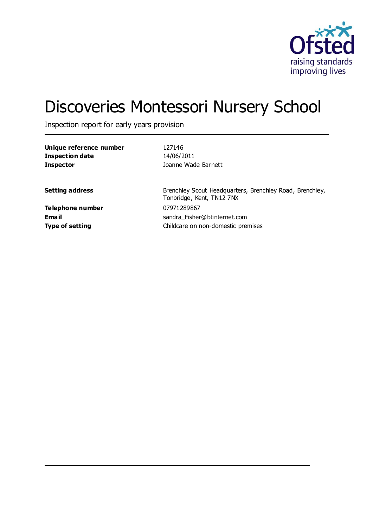

# Discoveries Montessori Nursery School

Inspection report for early years provision

| Unique reference number | 127146                                                                                |
|-------------------------|---------------------------------------------------------------------------------------|
| <b>Inspection date</b>  | 14/06/2011                                                                            |
| <b>Inspector</b>        | Joanne Wade Barnett                                                                   |
| <b>Setting address</b>  | Brenchley Scout Headquarters, Brenchley Road, Brenchley,<br>Tonbridge, Kent, TN12 7NX |
| Telephone number        | 07971289867                                                                           |
| <b>Email</b>            | sandra Fisher@btinternet.com                                                          |
| <b>Type of setting</b>  | Childcare on non-domestic premises                                                    |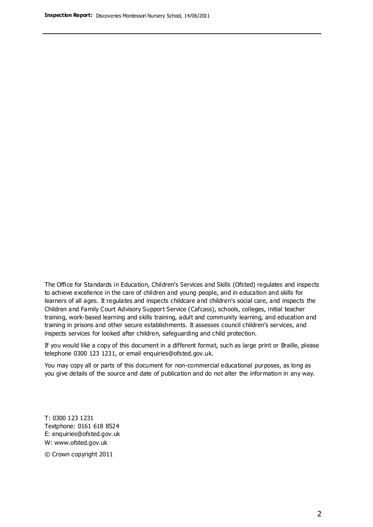The Office for Standards in Education, Children's Services and Skills (Ofsted) regulates and inspects to achieve excellence in the care of children and young people, and in education and skills for learners of all ages. It regulates and inspects childcare and children's social care, and inspects the Children and Family Court Advisory Support Service (Cafcass), schools, colleges, initial teacher training, work-based learning and skills training, adult and community learning, and education and training in prisons and other secure establishments. It assesses council children's services, and inspects services for looked after children, safeguarding and child protection.

If you would like a copy of this document in a different format, such as large print or Braille, please telephone 0300 123 1231, or email enquiries@ofsted.gov.uk.

You may copy all or parts of this document for non-commercial educational purposes, as long as you give details of the source and date of publication and do not alter the information in any way.

T: 0300 123 1231 Textphone: 0161 618 8524 E: enquiries@ofsted.gov.uk W: [www.ofsted.gov.uk](http://www.ofsted.gov.uk/)

© Crown copyright 2011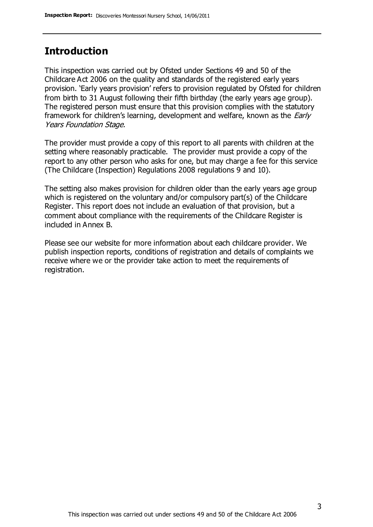### **Introduction**

This inspection was carried out by Ofsted under Sections 49 and 50 of the Childcare Act 2006 on the quality and standards of the registered early years provision. 'Early years provision' refers to provision regulated by Ofsted for children from birth to 31 August following their fifth birthday (the early years age group). The registered person must ensure that this provision complies with the statutory framework for children's learning, development and welfare, known as the *Early* Years Foundation Stage.

The provider must provide a copy of this report to all parents with children at the setting where reasonably practicable. The provider must provide a copy of the report to any other person who asks for one, but may charge a fee for this service (The Childcare (Inspection) Regulations 2008 regulations 9 and 10).

The setting also makes provision for children older than the early years age group which is registered on the voluntary and/or compulsory part(s) of the Childcare Register. This report does not include an evaluation of that provision, but a comment about compliance with the requirements of the Childcare Register is included in Annex B.

Please see our website for more information about each childcare provider. We publish inspection reports, conditions of registration and details of complaints we receive where we or the provider take action to meet the requirements of registration.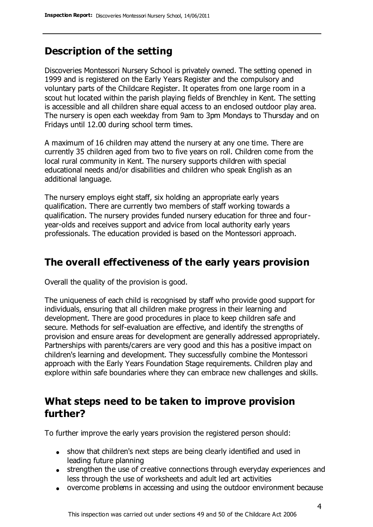### **Description of the setting**

Discoveries Montessori Nursery School is privately owned. The setting opened in 1999 and is registered on the Early Years Register and the compulsory and voluntary parts of the Childcare Register. It operates from one large room in a scout hut located within the parish playing fields of Brenchley in Kent. The setting is accessible and all children share equal access to an enclosed outdoor play area. The nursery is open each weekday from 9am to 3pm Mondays to Thursday and on Fridays until 12.00 during school term times.

A maximum of 16 children may attend the nursery at any one time. There are currently 35 children aged from two to five years on roll. Children come from the local rural community in Kent. The nursery supports children with special educational needs and/or disabilities and children who speak English as an additional language.

The nursery employs eight staff, six holding an appropriate early years qualification. There are currently two members of staff working towards a qualification. The nursery provides funded nursery education for three and fouryear-olds and receives support and advice from local authority early years professionals. The education provided is based on the Montessori approach.

### **The overall effectiveness of the early years provision**

Overall the quality of the provision is good.

The uniqueness of each child is recognised by staff who provide good support for individuals, ensuring that all children make progress in their learning and development. There are good procedures in place to keep children safe and secure. Methods for self-evaluation are effective, and identify the strengths of provision and ensure areas for development are generally addressed appropriately. Partnerships with parents/carers are very good and this has a positive impact on children's learning and development. They successfully combine the Montessori approach with the Early Years Foundation Stage requirements. Children play and explore within safe boundaries where they can embrace new challenges and skills.

### **What steps need to be taken to improve provision further?**

To further improve the early years provision the registered person should:

- show that children's next steps are being clearly identified and used in leading future planning
- strengthen the use of creative connections through everyday experiences and less through the use of worksheets and adult led art activities
- overcome problems in accessing and using the outdoor environment because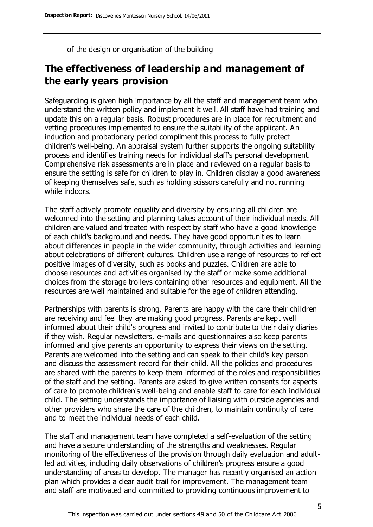of the design or organisation of the building

### **The effectiveness of leadership and management of the early years provision**

Safeguarding is given high importance by all the staff and management team who understand the written policy and implement it well. All staff have had training and update this on a regular basis. Robust procedures are in place for recruitment and vetting procedures implemented to ensure the suitability of the applicant. An induction and probationary period compliment this process to fully protect children's well-being. An appraisal system further supports the ongoing suitability process and identifies training needs for individual staff's personal development. Comprehensive risk assessments are in place and reviewed on a regular basis to ensure the setting is safe for children to play in. Children display a good awareness of keeping themselves safe, such as holding scissors carefully and not running while indoors.

The staff actively promote equality and diversity by ensuring all children are welcomed into the setting and planning takes account of their individual needs. All children are valued and treated with respect by staff who have a good knowledge of each child's background and needs. They have good opportunities to learn about differences in people in the wider community, through activities and learning about celebrations of different cultures. Children use a range of resources to reflect positive images of diversity, such as books and puzzles. Children are able to choose resources and activities organised by the staff or make some additional choices from the storage trolleys containing other resources and equipment. All the resources are well maintained and suitable for the age of children attending.

Partnerships with parents is strong. Parents are happy with the care their children are receiving and feel they are making good progress. Parents are kept well informed about their child's progress and invited to contribute to their daily diaries if they wish. Regular newsletters, e-mails and questionnaires also keep parents informed and give parents an opportunity to express their views on the setting. Parents are welcomed into the setting and can speak to their child's key person and discuss the assessment record for their child. All the policies and procedures are shared with the parents to keep them informed of the roles and responsibilities of the staff and the setting. Parents are asked to give written consents for aspects of care to promote children's well-being and enable staff to care for each individual child. The setting understands the importance of liaising with outside agencies and other providers who share the care of the children, to maintain continuity of care and to meet the individual needs of each child.

The staff and management team have completed a self-evaluation of the setting and have a secure understanding of the strengths and weaknesses. Regular monitoring of the effectiveness of the provision through daily evaluation and adultled activities, including daily observations of children's progress ensure a good understanding of areas to develop. The manager has recently organised an action plan which provides a clear audit trail for improvement. The management team and staff are motivated and committed to providing continuous improvement to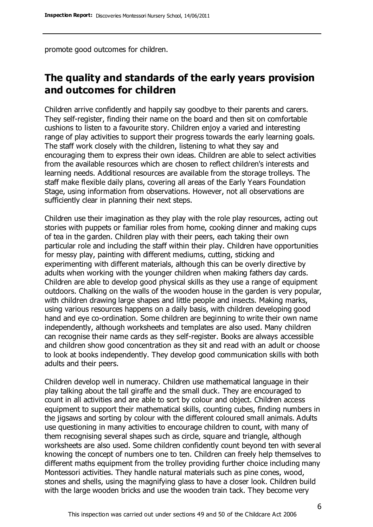promote good outcomes for children.

### **The quality and standards of the early years provision and outcomes for children**

Children arrive confidently and happily say goodbye to their parents and carers. They self-register, finding their name on the board and then sit on comfortable cushions to listen to a favourite story. Children enjoy a varied and interesting range of play activities to support their progress towards the early learning goals. The staff work closely with the children, listening to what they say and encouraging them to express their own ideas. Children are able to select activities from the available resources which are chosen to reflect children's interests and learning needs. Additional resources are available from the storage trolleys. The staff make flexible daily plans, covering all areas of the Early Years Foundation Stage, using information from observations. However, not all observations are sufficiently clear in planning their next steps.

Children use their imagination as they play with the role play resources, acting out stories with puppets or familiar roles from home, cooking dinner and making cups of tea in the garden. Children play with their peers, each taking their own particular role and including the staff within their play. Children have opportunities for messy play, painting with different mediums, cutting, sticking and experimenting with different materials, although this can be overly directive by adults when working with the younger children when making fathers day cards. Children are able to develop good physical skills as they use a range of equipment outdoors. Chalking on the walls of the wooden house in the garden is very popular, with children drawing large shapes and little people and insects. Making marks, using various resources happens on a daily basis, with children developing good hand and eye co-ordination. Some children are beginning to write their own name independently, although worksheets and templates are also used. Many children can recognise their name cards as they self-register. Books are always accessible and children show good concentration as they sit and read with an adult or choose to look at books independently. They develop good communication skills with both adults and their peers.

Children develop well in numeracy. Children use mathematical language in their play talking about the tall giraffe and the small duck. They are encouraged to count in all activities and are able to sort by colour and object. Children access equipment to support their mathematical skills, counting cubes, finding numbers in the jigsaws and sorting by colour with the different coloured small animals. Adults use questioning in many activities to encourage children to count, with many of them recognising several shapes such as circle, square and triangle, although worksheets are also used. Some children confidently count beyond ten with several knowing the concept of numbers one to ten. Children can freely help themselves to different maths equipment from the trolley providing further choice including many Montessori activities. They handle natural materials such as pine cones, wood, stones and shells, using the magnifying glass to have a closer look. Children build with the large wooden bricks and use the wooden train tack. They become very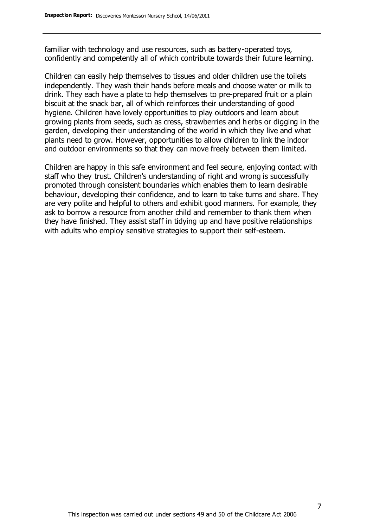familiar with technology and use resources, such as battery-operated toys, confidently and competently all of which contribute towards their future learning.

Children can easily help themselves to tissues and older children use the toilets independently. They wash their hands before meals and choose water or milk to drink. They each have a plate to help themselves to pre-prepared fruit or a plain biscuit at the snack bar, all of which reinforces their understanding of good hygiene. Children have lovely opportunities to play outdoors and learn about growing plants from seeds, such as cress, strawberries and herbs or digging in the garden, developing their understanding of the world in which they live and what plants need to grow. However, opportunities to allow children to link the indoor and outdoor environments so that they can move freely between them limited.

Children are happy in this safe environment and feel secure, enjoying contact with staff who they trust. Children's understanding of right and wrong is successfully promoted through consistent boundaries which enables them to learn desirable behaviour, developing their confidence, and to learn to take turns and share. They are very polite and helpful to others and exhibit good manners. For example, they ask to borrow a resource from another child and remember to thank them when they have finished. They assist staff in tidying up and have positive relationships with adults who employ sensitive strategies to support their self-esteem.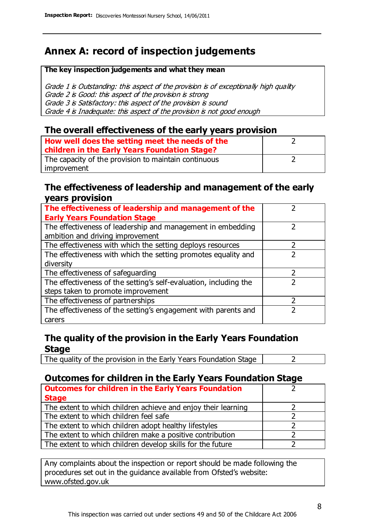### **Annex A: record of inspection judgements**

#### **The key inspection judgements and what they mean**

Grade 1 is Outstanding: this aspect of the provision is of exceptionally high quality Grade 2 is Good: this aspect of the provision is strong Grade 3 is Satisfactory: this aspect of the provision is sound Grade 4 is Inadequate: this aspect of the provision is not good enough

### **The overall effectiveness of the early years provision**

| How well does the setting meet the needs of the      |  |
|------------------------------------------------------|--|
| children in the Early Years Foundation Stage?        |  |
| The capacity of the provision to maintain continuous |  |
| improvement                                          |  |

#### **The effectiveness of leadership and management of the early years provision**

| The effectiveness of leadership and management of the             |   |
|-------------------------------------------------------------------|---|
| <b>Early Years Foundation Stage</b>                               |   |
| The effectiveness of leadership and management in embedding       |   |
| ambition and driving improvement                                  |   |
| The effectiveness with which the setting deploys resources        |   |
| The effectiveness with which the setting promotes equality and    |   |
| diversity                                                         |   |
| The effectiveness of safeguarding                                 | 7 |
| The effectiveness of the setting's self-evaluation, including the |   |
| steps taken to promote improvement                                |   |
| The effectiveness of partnerships                                 |   |
| The effectiveness of the setting's engagement with parents and    |   |
| carers                                                            |   |

### **The quality of the provision in the Early Years Foundation Stage**

The quality of the provision in the Early Years Foundation Stage  $\vert$  2

### **Outcomes for children in the Early Years Foundation Stage**

| <b>Outcomes for children in the Early Years Foundation</b>    |  |
|---------------------------------------------------------------|--|
| <b>Stage</b>                                                  |  |
| The extent to which children achieve and enjoy their learning |  |
| The extent to which children feel safe                        |  |
| The extent to which children adopt healthy lifestyles         |  |
| The extent to which children make a positive contribution     |  |
| The extent to which children develop skills for the future    |  |

Any complaints about the inspection or report should be made following the procedures set out in the guidance available from Ofsted's website: www.ofsted.gov.uk